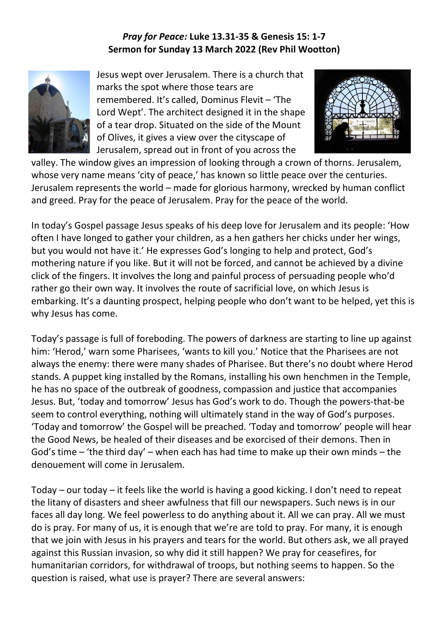## *Pray for Peace:* **Luke 13.31-35 & Genesis 15: 1-7 Sermon for Sunday 13 March 2022 (Rev Phil Wootton)**



Jesus wept over Jerusalem. There is a church that marks the spot where those tears are remembered. It's called, Dominus Flevit – 'The Lord Wept'. The architect designed it in the shape of a tear drop. Situated on the side of the Mount of Olives, it gives a view over the cityscape of Jerusalem, spread out in front of you across the



valley. The window gives an impression of looking through a crown of thorns. Jerusalem, whose very name means 'city of peace,' has known so little peace over the centuries. Jerusalem represents the world – made for glorious harmony, wrecked by human conflict and greed. Pray for the peace of Jerusalem. Pray for the peace of the world.

In today's Gospel passage Jesus speaks of his deep love for Jerusalem and its people: 'How often I have longed to gather your children, as a hen gathers her chicks under her wings, but you would not have it.' He expresses God's longing to help and protect, God's mothering nature if you like. But it will not be forced, and cannot be achieved by a divine click of the fingers. It involves the long and painful process of persuading people who'd rather go their own way. It involves the route of sacrificial love, on which Jesus is embarking. It's a daunting prospect, helping people who don't want to be helped, yet this is why Jesus has come.

Today's passage is full of foreboding. The powers of darkness are starting to line up against him: 'Herod,' warn some Pharisees, 'wants to kill you.' Notice that the Pharisees are not always the enemy: there were many shades of Pharisee. But there's no doubt where Herod stands. A puppet king installed by the Romans, installing his own henchmen in the Temple, he has no space of the outbreak of goodness, compassion and justice that accompanies Jesus. But, 'today and tomorrow' Jesus has God's work to do. Though the powers-that-be seem to control everything, nothing will ultimately stand in the way of God's purposes. 'Today and tomorrow' the Gospel will be preached. 'Today and tomorrow' people will hear the Good News, be healed of their diseases and be exorcised of their demons. Then in God's time – 'the third day' – when each has had time to make up their own minds – the denouement will come in Jerusalem.

Today – our today – it feels like the world is having a good kicking. I don't need to repeat the litany of disasters and sheer awfulness that fill our newspapers. Such news is in our faces all day long. We feel powerless to do anything about it. All we can pray. All we must do is pray. For many of us, it is enough that we're are told to pray. For many, it is enough that we join with Jesus in his prayers and tears for the world. But others ask, we all prayed against this Russian invasion, so why did it still happen? We pray for ceasefires, for humanitarian corridors, for withdrawal of troops, but nothing seems to happen. So the question is raised, what use is prayer? There are several answers: